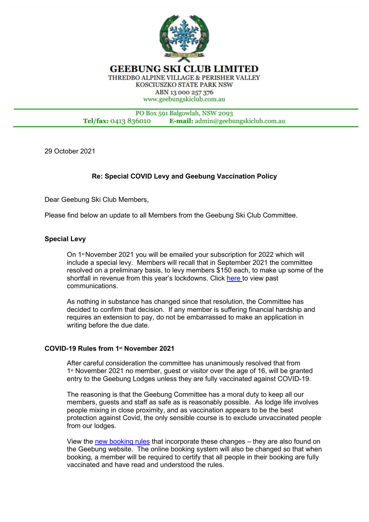

PO Box 591 Balgowlah, NSW 2093 Tel/fax: 0413 836010 E-mail: admin@geebungskiclub.com.au

29 October 2021

# **Re: Special COVID Levy and Geebung Vaccination Policy**

Dear Geebung Ski Club Members,

Please find below an update to all Members from the Geebung Ski Club Committee.

## **Special Levy**

On 1st November 2021 you will be emailed your subscription for 2022 which will include a special levy. Members will recall that in September 2021 the committee resolved on a preliminary basis, to levy members \$150 each, to make up some of the shortfall in revenue from this year's lockdowns. Click [here t](https://www.geebungskiclub.com.au/news_and_notices.html)o view past communications.

As nothing in substance has changed since that resolution, the Committee has decided to confirm that decision. If any member is suffering financial hardship and requires an extension to pay, do not be embarrassed to make an application in writing before the due date.

#### **COVID-19 Rules from 1st November 2021**

After careful consideration the committee has unanimously resolved that from 1st November 2021 no member, guest or visitor over the age of 16, will be granted entry to the Geebung Lodges unless they are fully vaccinated against COVID-19.

The reasoning is that the Geebung Committee has a moral duty to keep all our members, guests and staff as safe as is reasonably possible. As lodge life involves people mixing in close proximity, and as vaccination appears to be the best protection against Covid, the only sensible course is to exclude unvaccinated people from our lodges.

View the [new booking rules](https://www.geebungskiclub.com.au/covid_booking_rules_2021_2022.html) that incorporate these changes – they are also found on the Geebung website. The online booking system will also be changed so that when booking, a member will be required to certify that all people in their booking are fully vaccinated and have read and understood the rules.